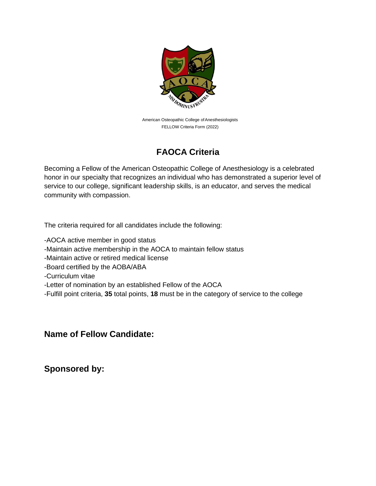

American Osteopathic College of Anesthesiologists FELLOW Criteria Form (2022)

## **FAOCA Criteria**

Becoming a Fellow of the American Osteopathic College of Anesthesiology is a celebrated honor in our specialty that recognizes an individual who has demonstrated a superior level of service to our college, significant leadership skills, is an educator, and serves the medical community with compassion.

The criteria required for all candidates include the following:

-AOCA active member in good status

-Maintain active membership in the AOCA to maintain fellow status

-Maintain active or retired medical license

-Board certified by the AOBA/ABA

-Curriculum vitae

-Letter of nomination by an established Fellow of the AOCA

-Fulfill point criteria, **35** total points, **18** must be in the category of service to the college

## **Name of Fellow Candidate:**

**Sponsored by:**